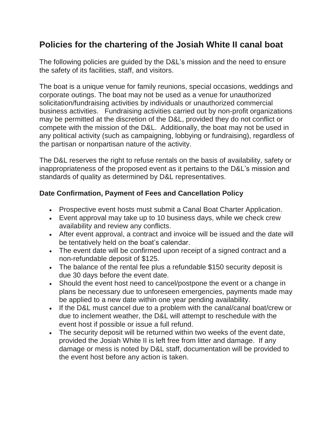# **Policies for the chartering of the Josiah White II canal boat**

The following policies are guided by the D&L's mission and the need to ensure the safety of its facilities, staff, and visitors.

The boat is a unique venue for family reunions, special occasions, weddings and corporate outings. The boat may not be used as a venue for unauthorized solicitation/fundraising activities by individuals or unauthorized commercial business activities. Fundraising activities carried out by non-profit organizations may be permitted at the discretion of the D&L, provided they do not conflict or compete with the mission of the D&L. Additionally, the boat may not be used in any political activity (such as campaigning, lobbying or fundraising), regardless of the partisan or nonpartisan nature of the activity.

The D&L reserves the right to refuse rentals on the basis of availability, safety or inappropriateness of the proposed event as it pertains to the D&L's mission and standards of quality as determined by D&L representatives.

# **Date Confirmation, Payment of Fees and Cancellation Policy**

- Prospective event hosts must submit a Canal Boat Charter Application.
- Event approval may take up to 10 business days, while we check crew availability and review any conflicts.
- After event approval, a contract and invoice will be issued and the date will be tentatively held on the boat's calendar.
- The event date will be confirmed upon receipt of a signed contract and a non-refundable deposit of \$125.
- The balance of the rental fee plus a refundable \$150 security deposit is due 30 days before the event date.
- Should the event host need to cancel/postpone the event or a change in plans be necessary due to unforeseen emergencies, payments made may be applied to a new date within one year pending availability.
- If the D&L must cancel due to a problem with the canal/canal boat/crew or due to inclement weather, the D&L will attempt to reschedule with the event host if possible or issue a full refund.
- The security deposit will be returned within two weeks of the event date, provided the Josiah White II is left free from litter and damage. If any damage or mess is noted by D&L staff, documentation will be provided to the event host before any action is taken.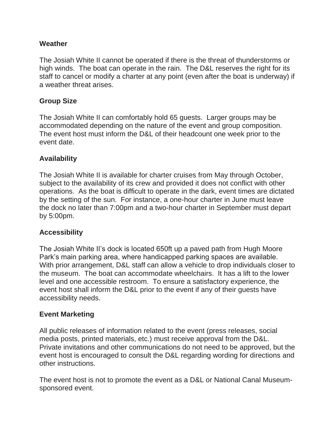#### **Weather**

The Josiah White II cannot be operated if there is the threat of thunderstorms or high winds. The boat can operate in the rain. The D&L reserves the right for its staff to cancel or modify a charter at any point (even after the boat is underway) if a weather threat arises.

## **Group Size**

The Josiah White II can comfortably hold 65 guests. Larger groups may be accommodated depending on the nature of the event and group composition. The event host must inform the D&L of their headcount one week prior to the event date.

## **Availability**

The Josiah White II is available for charter cruises from May through October, subject to the availability of its crew and provided it does not conflict with other operations. As the boat is difficult to operate in the dark, event times are dictated by the setting of the sun. For instance, a one-hour charter in June must leave the dock no later than 7:00pm and a two-hour charter in September must depart by 5:00pm.

## **Accessibility**

The Josiah White II's dock is located 650ft up a paved path from Hugh Moore Park's main parking area, where handicapped parking spaces are available. With prior arrangement, D&L staff can allow a vehicle to drop individuals closer to the museum. The boat can accommodate wheelchairs. It has a lift to the lower level and one accessible restroom. To ensure a satisfactory experience, the event host shall inform the D&L prior to the event if any of their guests have accessibility needs.

#### **Event Marketing**

All public releases of information related to the event (press releases, social media posts, printed materials, etc.) must receive approval from the D&L. Private invitations and other communications do not need to be approved, but the event host is encouraged to consult the D&L regarding wording for directions and other instructions.

The event host is not to promote the event as a D&L or National Canal Museumsponsored event.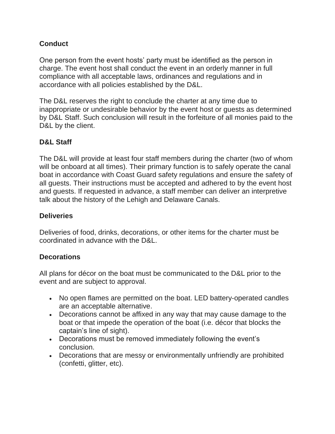# **Conduct**

One person from the event hosts' party must be identified as the person in charge. The event host shall conduct the event in an orderly manner in full compliance with all acceptable laws, ordinances and regulations and in accordance with all policies established by the D&L.

The D&L reserves the right to conclude the charter at any time due to inappropriate or undesirable behavior by the event host or guests as determined by D&L Staff. Such conclusion will result in the forfeiture of all monies paid to the D&L by the client.

## **D&L Staff**

The D&L will provide at least four staff members during the charter (two of whom will be onboard at all times). Their primary function is to safely operate the canal boat in accordance with Coast Guard safety regulations and ensure the safety of all guests. Their instructions must be accepted and adhered to by the event host and guests. If requested in advance, a staff member can deliver an interpretive talk about the history of the Lehigh and Delaware Canals.

## **Deliveries**

Deliveries of food, drinks, decorations, or other items for the charter must be coordinated in advance with the D&L.

## **Decorations**

All plans for décor on the boat must be communicated to the D&L prior to the event and are subject to approval.

- No open flames are permitted on the boat. LED battery-operated candles are an acceptable alternative.
- Decorations cannot be affixed in any way that may cause damage to the boat or that impede the operation of the boat (i.e. décor that blocks the captain's line of sight).
- Decorations must be removed immediately following the event's conclusion.
- Decorations that are messy or environmentally unfriendly are prohibited (confetti, glitter, etc).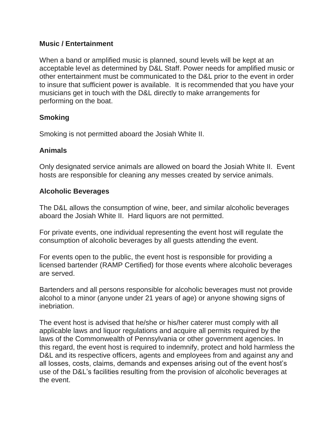#### **Music / Entertainment**

When a band or amplified music is planned, sound levels will be kept at an acceptable level as determined by D&L Staff. Power needs for amplified music or other entertainment must be communicated to the D&L prior to the event in order to insure that sufficient power is available. It is recommended that you have your musicians get in touch with the D&L directly to make arrangements for performing on the boat.

## **Smoking**

Smoking is not permitted aboard the Josiah White II.

## **Animals**

Only designated service animals are allowed on board the Josiah White II. Event hosts are responsible for cleaning any messes created by service animals.

#### **Alcoholic Beverages**

The D&L allows the consumption of wine, beer, and similar alcoholic beverages aboard the Josiah White II. Hard liquors are not permitted.

For private events, one individual representing the event host will regulate the consumption of alcoholic beverages by all guests attending the event.

For events open to the public, the event host is responsible for providing a licensed bartender (RAMP Certified) for those events where alcoholic beverages are served.

Bartenders and all persons responsible for alcoholic beverages must not provide alcohol to a minor (anyone under 21 years of age) or anyone showing signs of inebriation.

The event host is advised that he/she or his/her caterer must comply with all applicable laws and liquor regulations and acquire all permits required by the laws of the Commonwealth of Pennsylvania or other government agencies. In this regard, the event host is required to indemnify, protect and hold harmless the D&L and its respective officers, agents and employees from and against any and all losses, costs, claims, demands and expenses arising out of the event host's use of the D&L's facilities resulting from the provision of alcoholic beverages at the event.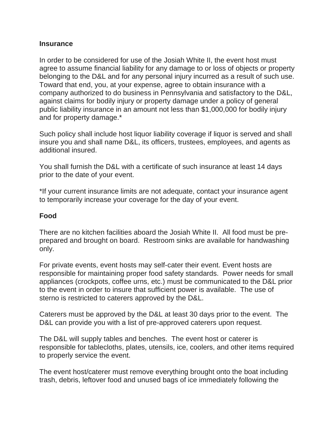#### **Insurance**

In order to be considered for use of the Josiah White II, the event host must agree to assume financial liability for any damage to or loss of objects or property belonging to the D&L and for any personal injury incurred as a result of such use. Toward that end, you, at your expense, agree to obtain insurance with a company authorized to do business in Pennsylvania and satisfactory to the D&L, against claims for bodily injury or property damage under a policy of general public liability insurance in an amount not less than \$1,000,000 for bodily injury and for property damage.\*

Such policy shall include host liquor liability coverage if liquor is served and shall insure you and shall name D&L, its officers, trustees, employees, and agents as additional insured.

You shall furnish the D&L with a certificate of such insurance at least 14 days prior to the date of your event.

\*If your current insurance limits are not adequate, contact your insurance agent to temporarily increase your coverage for the day of your event.

#### **Food**

There are no kitchen facilities aboard the Josiah White II. All food must be preprepared and brought on board. Restroom sinks are available for handwashing only.

For private events, event hosts may self-cater their event. Event hosts are responsible for maintaining proper food safety standards. Power needs for small appliances (crockpots, coffee urns, etc.) must be communicated to the D&L prior to the event in order to insure that sufficient power is available. The use of sterno is restricted to caterers approved by the D&L.

Caterers must be approved by the D&L at least 30 days prior to the event. The D&L can provide you with a list of pre-approved caterers upon request.

The D&L will supply tables and benches. The event host or caterer is responsible for tablecloths, plates, utensils, ice, coolers, and other items required to properly service the event.

The event host/caterer must remove everything brought onto the boat including trash, debris, leftover food and unused bags of ice immediately following the